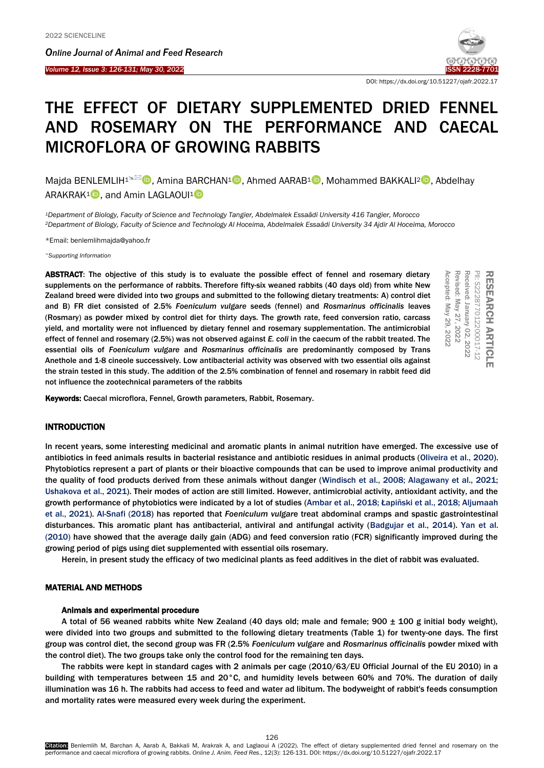Ī

*Online Journal of A[nimal and](http://www.ojafr.ir/main/) Feed Research Volume 12, Issue 3: 126-131; May 30, 2022* [ISSN 2228-7701](mailto:www.ojafr.ir)



DOI: https://dx.doi.org/10.51227/ojafr.2022.17

# THE EFFECT OF DIETARY SUPPLEMENTED DRIED FENNEL AND ROSEMARY ON THE PERFORMANCE AND CAECAL MICROFLORA OF GROWING RABBITS

Majda BENLEMLIH<sup>1<sup>\</sup></sub><sup>[2]</sup> , Amina BARCHAN<sup>1</sup> , Ahmed AARAB<sup>1</sup> , Mohammed BAKKALI<sup>2</sup> , Abdelhay</sup> ARAKRAK<sup>1</sup> **D**, and Amin LAGLAOUI<sup>1</sup> **D** 

*<sup>1</sup>Department of Biology, Faculty of Science and Technology Tangier, Abdelmalek Essaâdi University 416 Tangier, Morocco <sup>2</sup>Department of Biology, Faculty of Science and Technology Al Hoceima, Abdelmalek Essaâdi University 34 Ajdir Al Hoceima, Morocco*

\*Email[: benlemlihmajda@yahoo.fr](mailto:benlemlihmajda@yahoo.fr)

*[Supporting Information](#page-4-0)*

ABSTRACT: The objective of this study is to evaluate the possible effect of fennel and rosemary dietary supplements on the performance of rabbits. Therefore fifty-six weaned rabbits (40 days old) from white New Zealand breed were divided into two groups and submitted to the following dietary treatments: A) control diet and B) FR diet consisted of 2.5% *Foeniculum vulgare* seeds (fennel) and *Rosmarinus officinalis* leaves (Rosmary) as powder mixed by control diet for thirty days. The growth rate, feed conversion ratio, carcass yield, and mortality were not influenced by dietary fennel and rosemary supplementation. The antimicrobial effect of fennel and rosemary (2.5%) was not observed against *E. coli* in the caecum of the rabbit treated. The essential oils of *Foeniculum vulgare* and *Rosmarinus officinalis* are predominantly composed by Trans Anethole and 1-8 cineole successively. Low antibacterial activity was observed with two essential oils against the strain tested in this study. The addition of the 2.5% combination of fennel and rosemary in rabbit feed did not influence the zootechnical parameters of the rabbits **ABSTRACT:** The objective of this study is to evaluate the possible effect of fennel and rosemary dietary<br>supplements on the performance of rabbits. Therefore ifty-six weaned rabbits (40 days old) from white New<br>Zealand b



## **INTRODUCTION**

In recent years, some interesting medicinal and aromatic plants in animal nutrition have emerged. The excessive use of antibiotics in feed animals results in bacterial resistance and antibiotic residues in animal products [\(Oliveira et al.,](#page-5-0) 2020). Phytobiotics represent a part of plants or their bioactive compounds that can be used to improve animal productivity and the quality of food products derived from these animals without danger [\(Windisch et al., 2008; Alagawany et al., 2021;](#page-5-0)  Ushakova [et al., 2021\)](#page-5-0). Their modes of action are still limited. However, antimicrobial activity, antioxidant activity, and the growth performance of phytobiotics were indicated by a lot of studies ([Ambar et al., 2018; Łapiñski et al., 2018; Aljumaah](#page-5-0)  [et al., 2021\). Al-Snafi \(2018\)](#page-5-0) has reported that *Foeniculum vulgar*e treat abdominal cramps and spastic gastrointestinal disturbances. This aromatic plant has antibacterial, antiviral and antifungal activity [\(Badgujar et al., 2014\).](#page-5-0) Yan et al. (2010) have showed that the average daily gain (ADG) and feed conversion ratio (FCR) significantly improved during the growing period of pigs using diet supplemented with essential oils rosemary.

Herein, in present study the efficacy of two medicinal plants as feed additives in the diet of rabbit was evaluated.

# MATERIAL AND METHODS

#### Animals and experimental procedure

A total of 56 weaned rabbits white New Zealand (40 days old; male and female; 900  $\pm$  100 g initial body weight), were divided into two groups and submitted to the following dietary treatments (Table 1) for twenty-one days. The first group was control diet, the second group was FR (2.5% *Foeniculum vulgare* and *Rosmarinus officinalis* powder mixed with the control diet). The two groups take only the control food for the remaining ten days.

The rabbits were kept in standard cages with 2 animals per cage (2010/63/EU Official Journal of the EU 2010) in a building with temperatures between 15 and 20°C, and humidity levels between 60% and 70%. The duration of daily illumination was 16 h. The rabbits had access to feed and water ad libitum. The bodyweight of rabbit's feeds consumption and mortality rates were measured every week during the experiment.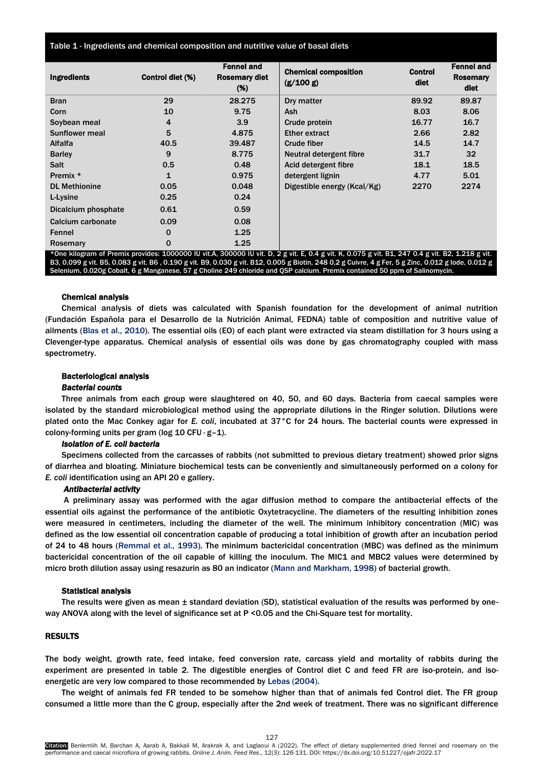| Table 1 - Ingredients and chemical composition and nutritive value of basal diets |  |  |  |  |
|-----------------------------------------------------------------------------------|--|--|--|--|
|-----------------------------------------------------------------------------------|--|--|--|--|

| <b>Ingredients</b>    | Control diet (%) | <b>Fennel and</b><br><b>Rosemary diet</b><br>(%) | <b>Chemical composition</b><br>(g/100 g)                                                                                                         | <b>Control</b><br>diet | <b>Fennel and</b><br>Rosemary<br>diet |
|-----------------------|------------------|--------------------------------------------------|--------------------------------------------------------------------------------------------------------------------------------------------------|------------------------|---------------------------------------|
| <b>Bran</b>           | 29               | 28.275                                           | Dry matter                                                                                                                                       | 89.92                  | 89.87                                 |
| Corn                  | 10               | 9.75                                             | <b>Ash</b>                                                                                                                                       | 8.03                   | 8.06                                  |
| Soybean meal          | 4                | 3.9                                              | Crude protein                                                                                                                                    | 16.77                  | 16.7                                  |
| <b>Sunflower meal</b> | 5                | 4.875                                            | <b>Ether extract</b>                                                                                                                             | 2.66                   | 2.82                                  |
| Alfalfa               | 40.5             | 39.487                                           | <b>Crude fiber</b>                                                                                                                               | 14.5                   | 14.7                                  |
| <b>Barley</b>         | 9                | 8.775                                            | Neutral detergent fibre                                                                                                                          | 31.7                   | 32                                    |
| <b>Salt</b>           | 0.5              | 0.48                                             | Acid detergent fibre                                                                                                                             | 18.1                   | 18.5                                  |
| Premix *              | 1                | 0.975                                            | detergent lignin                                                                                                                                 | 4.77                   | 5.01                                  |
| <b>DL Methionine</b>  | 0.05             | 0.048                                            | Digestible energy (Kcal/Kg)                                                                                                                      | 2270                   | 2274                                  |
| L-Lysine              | 0.25             | 0.24                                             |                                                                                                                                                  |                        |                                       |
| Dicalcium phosphate   | 0.61             | 0.59                                             |                                                                                                                                                  |                        |                                       |
| Calcium carbonate     | 0.09             | 0.08                                             |                                                                                                                                                  |                        |                                       |
| Fennel                | 0                | 1.25                                             |                                                                                                                                                  |                        |                                       |
| Rosemary              | $\mathbf 0$      | 1.25                                             |                                                                                                                                                  |                        |                                       |
|                       |                  |                                                  | *One kilogram of Premix provides: 1000000 IU vit.A, 300000 IU vit. D, 2 g vit. E, 0.4 g vit. K, 0.075 g vit. B1, 247 0.4 g vit. B2, 1.218 g vit. |                        |                                       |

B3, 0.099 g vit. B5, 0.083 g vit. B6 , 0.190 g vit. B9, 0.030 g vit. B12, 0.005 g Biotin, 248 0,2 g Cuivre, 4 g Fer, 5 g Zinc, 0.012 g Iode, 0.012 g Selenium, 0.020g Cobalt, 6 g Manganese, 57 g Choline 249 chloride and QSP calcium. Premix contained 50 ppm of Salinomycin.

## Chemical analysis

Chemical analysis of diets was calculated with Spanish foundation for the development of animal nutrition (Fundación Española para el Desarrollo de la Nutrición Animal, FEDNA) table of composition and nutritive value of ailments (Blas et al., 2010). The essential oils (EO) of each plant were extracted via steam distillation for 3 hours using a Clevenger-type apparatus. Chemical analysis of essential oils was done by gas chromatography coupled with mass spectrometry.

## Bacteriological analysis

# *Bacterial counts*

Three animals from each group were slaughtered on 40, 50, and 60 days. Bacteria from caecal samples were isolated by the standard microbiological method using the appropriate dilutions in the Ringer solution. Dilutions were plated onto the Mac Conkey agar for *E. coli*, incubated at 37°C for 24 hours. The bacterial counts were expressed in colony-forming units per gram (log 10 CFU · g–1).

### *Isolation of E. coli bacteria*

Specimens collected from the carcasses of rabbits (not submitted to previous dietary treatment) showed prior signs of diarrhea and bloating. Miniature biochemical tests can be conveniently and simultaneously performed on a colony for *E. coli* identification using an API 20 e gallery.

### *Antibacterial activity*

A preliminary assay was performed with the agar diffusion method to compare the antibacterial effects of the essential oils against the performance of the antibiotic Oxytetracycline. The diameters of the resulting inhibition zones were measured in centimeters, including the diameter of the well. The minimum inhibitory concentration (MIC) was defined as the low essential oil concentration capable of producing a total inhibition of growth after an incubation period of 24 to 48 hours [\(Remmal et al., 1993\)](#page-5-0). The minimum bactericidal concentration (MBC) was defined as the minimum bactericidal concentration of the oil capable of killing the inoculum. The MIC1 and MBC2 values were determined by micro broth dilution assay using resazurin as 80 an indicator [\(Mann and Markham, 1998\)](#page-5-0) of bacterial growth.

#### Statistical analysis

The results were given as mean ± standard deviation (SD), statistical evaluation of the results was performed by oneway ANOVA along with the level of significance set at P <0.05 and the Chi-Square test for mortality.

# RESULTS

The body weight, growth rate, feed intake, feed conversion rate, carcass yield and mortality of rabbits during the experiment are presented in table 2. The digestible energies of Control diet C and feed FR are iso-protein, and isoenergetic are very low compared to those recommended by [Lebas \(2004\).](#page-5-0)

The weight of animals fed FR tended to be somehow higher than that of animals fed Control diet. The FR group consumed a little more than the C group, especially after the 2nd week of treatment. There was no significant difference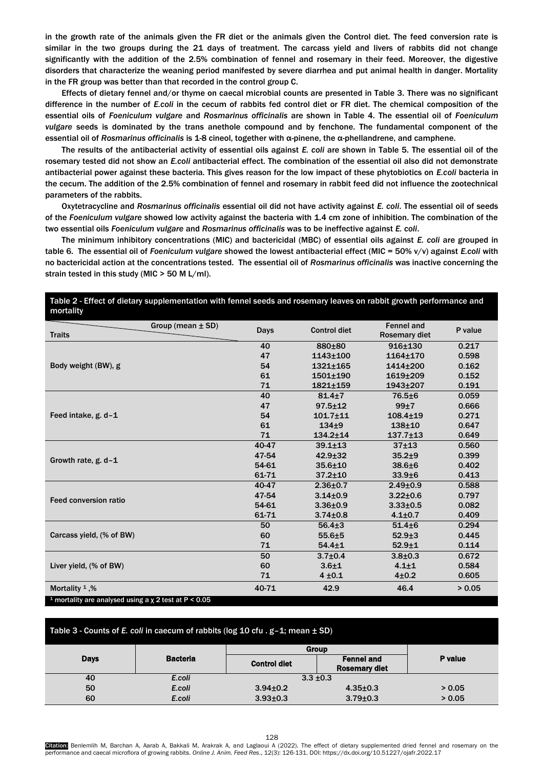in the growth rate of the animals given the FR diet or the animals given the Control diet. The feed conversion rate is similar in the two groups during the 21 days of treatment. The carcass yield and livers of rabbits did not change significantly with the addition of the 2.5% combination of fennel and rosemary in their feed. Moreover, the digestive disorders that characterize the weaning period manifested by severe diarrhea and put animal health in danger. Mortality in the FR group was better than that recorded in the control group C.

Effects of dietary fennel and/or thyme on caecal microbial counts are presented in Table 3. There was no significant difference in the number of *E.coli* in the cecum of rabbits fed control diet or FR diet. The chemical composition of the essential oils of *Foeniculum vulgare* and *Rosmarinus officinalis* are shown in Table 4. The essential oil of *Foeniculum vulgare* seeds is dominated by the trans anethole compound and by fenchone. The fundamental component of the essential oil of *Rosmarinus officinalis* is 1-8 cineol, together with α-pinene, the α-phellandrene, and camphene.

The results of the antibacterial activity of essential oils against *E. coli* are shown in Table 5. The essential oil of the rosemary tested did not show an *E.coli* antibacterial effect. The combination of the essential oil also did not demonstrate antibacterial power against these bacteria. This gives reason for the low impact of these phytobiotics on *E.coli* bacteria in the cecum. The addition of the 2.5% combination of fennel and rosemary in rabbit feed did not influence the zootechnical parameters of the rabbits.

Oxytetracycline and *Rosmarinus officinalis* essential oil did not have activity against *E. coli*. The essential oil of seeds of the *Foeniculum vulgare* showed low activity against the bacteria with 1.4 cm zone of inhibition. The combination of the two essential oils *Foeniculum vulgare* and *Rosmarinus officinalis* was to be ineffective against *E. coli*.

The minimum inhibitory concentrations (MIC) and bactericidal (MBC) of essential oils against *E. coli* are grouped in table 6. The essential oil of *Foeniculum vulgare* showed the lowest antibacterial effect (MIC = 50% v/v) against *E.coli* with no bactericidal action at the concentrations tested. The essential oil of *Rosmarinus officinalis* was inactive concerning the strain tested in this study (MIC > 50 Μ L/ml).

| mortality                                                             |                               |                     |                                           |         |
|-----------------------------------------------------------------------|-------------------------------|---------------------|-------------------------------------------|---------|
| <b>Traits</b>                                                         | Group (mean $\pm$ SD)<br>Days | <b>Control diet</b> | <b>Fennel and</b><br><b>Rosemary diet</b> | P value |
|                                                                       | 40                            | 880±80              | 916±130                                   | 0.217   |
|                                                                       | 47                            | $1143 + 100$        | 1164±170                                  | 0.598   |
| Body weight (BW), g                                                   | 54                            | 1321+165            | 1414+200                                  | 0.162   |
|                                                                       | 61                            | $1501 \pm 190$      | 1619±209                                  | 0.152   |
|                                                                       | 71                            | 1821±159            | 1943±207                                  | 0.191   |
|                                                                       | 40                            | $81.4 \pm 7$        | $76.5 \pm 6$                              | 0.059   |
|                                                                       | 47                            | $97.5 + 12$         | 99±7                                      | 0.666   |
| Feed intake, g. d-1                                                   | 54                            | $101.7 + 11$        | $108.4 \pm 19$                            | 0.271   |
|                                                                       | 61                            | $134 + 9$           | $138 + 10$                                | 0.647   |
|                                                                       | 71                            | $134.2 \pm 14$      | $137.7 \pm 13$                            | 0.649   |
|                                                                       | 40-47                         | $39.1 \pm 13$       | $37 + 13$                                 | 0.560   |
| Growth rate, $g$ . d-1                                                | 47-54                         | $42.9 + 32$         | $35.2 + 9$                                | 0.399   |
|                                                                       | 54-61                         | $35.6 + 10$         | $38.6 + 6$                                | 0.402   |
|                                                                       | 61-71                         | $37.2 \pm 10$       | $33.9 + 6$                                | 0.413   |
|                                                                       | 40-47                         | $2.36 \pm 0.7$      | $2.49 + 0.9$                              | 0.588   |
| <b>Feed conversion ratio</b>                                          | 47-54                         | $3.14 \pm 0.9$      | $3.22 \pm 0.6$                            | 0.797   |
|                                                                       | 54-61                         | $3.36 + 0.9$        | $3.33 + 0.5$                              | 0.082   |
|                                                                       | 61-71                         | $3.74 \pm 0.8$      | $4.1 \pm 0.7$                             | 0.409   |
|                                                                       | 50                            | $56.4 \pm 3$        | $51.4 \pm 6$                              | 0.294   |
| Carcass yield, (% of BW)                                              | 60                            | $55.6 + 5$          | $52.9 + 3$                                | 0.445   |
|                                                                       | 71                            | $54.4 \pm 1$        | $52.9 + 1$                                | 0.114   |
|                                                                       | 50                            | $3.7 + 0.4$         | $3.8 + 0.3$                               | 0.672   |
| Liver yield, (% of BW)                                                | 60                            | $3.6 + 1$           | $4.1 + 1$                                 | 0.584   |
|                                                                       | 71                            | $4 + 0.1$           | $4 + 0.2$                                 | 0.605   |
| Mortality $1, \%$                                                     | 40-71                         | 42.9                | 46.4                                      | > 0.05  |
| <sup>1</sup> mortality are analysed using a $\chi$ 2 test at P < 0.05 |                               |                     |                                           |         |

# Table 2 - Effect of dietary supplementation with fennel seeds and rosemary leaves on rabbit growth performance and mortality

| Table 3 - Counts of E. coli in caecum of rabbits (log 10 cfu $.$ g-1; mean $\pm$ SD) |                 |                     |                                           |         |  |
|--------------------------------------------------------------------------------------|-----------------|---------------------|-------------------------------------------|---------|--|
|                                                                                      |                 | Group               |                                           |         |  |
| <b>Days</b>                                                                          | <b>Bacteria</b> | <b>Control diet</b> | <b>Fennel and</b><br><b>Rosemary diet</b> | P value |  |
| 40                                                                                   | E.coli          | $3.3 \pm 0.3$       |                                           |         |  |
| 50                                                                                   | E.coli          | $3.94 \pm 0.2$      | $4.35 \pm 0.3$                            | > 0.05  |  |
| 60                                                                                   | E.coli          | $3.93 \pm 0.3$      | $3.79 \pm 0.3$                            | > 0.05  |  |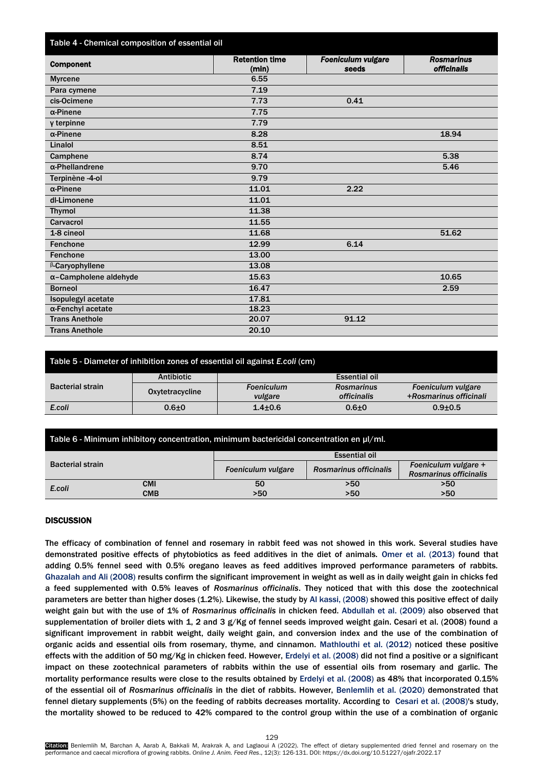| Table 4 - Chemical composition of essential oil |                                |                                    |                                         |
|-------------------------------------------------|--------------------------------|------------------------------------|-----------------------------------------|
| <b>Component</b>                                | <b>Retention time</b><br>(min) | <b>Foeniculum vulgare</b><br>seeds | <b>Rosmarinus</b><br><b>officinalis</b> |
| <b>Myrcene</b>                                  | 6.55                           |                                    |                                         |
| Para cymene                                     | 7.19                           |                                    |                                         |
| cis-Ocimene                                     | 7.73                           | 0.41                               |                                         |
| $\alpha$ -Pinene                                | 7.75                           |                                    |                                         |
| y terpinne                                      | 7.79                           |                                    |                                         |
| $\alpha$ -Pinene                                | 8.28                           |                                    | 18.94                                   |
| Linalol                                         | 8.51                           |                                    |                                         |
| Camphene                                        | 8.74                           |                                    | 5.38                                    |
| $\alpha$ -Phellandrene                          | 9.70                           |                                    | 5.46                                    |
| Terpinène -4-ol                                 | 9.79                           |                                    |                                         |
| $\alpha$ -Pinene                                | 11.01                          | 2.22                               |                                         |
| dl-Limonene                                     | 11.01                          |                                    |                                         |
| <b>Thymol</b>                                   | 11.38                          |                                    |                                         |
| Carvacrol                                       | 11.55                          |                                    |                                         |
| 1-8 cineol                                      | 11.68                          |                                    | 51.62                                   |
| Fenchone                                        | 12.99                          | 6.14                               |                                         |
| Fenchone                                        | 13.00                          |                                    |                                         |
| <b>B-Caryophyllene</b>                          | 13.08                          |                                    |                                         |
| $\alpha$ -Campholene aldehyde                   | 15.63                          |                                    | 10.65                                   |
| <b>Borneol</b>                                  | 16.47                          |                                    | 2.59                                    |
| Isopulegyl acetate                              | 17.81                          |                                    |                                         |
| α-Fenchyl acetate                               | 18.23                          |                                    |                                         |
| <b>Trans Anethole</b>                           | 20.07                          | 91.12                              |                                         |
| <b>Trans Anethole</b>                           | 20.10                          |                                    |                                         |

| Table 5 - Diameter of inhibition zones of essential oil against <i>E.coli</i> (cm) |                   |                   |                      |                        |  |
|------------------------------------------------------------------------------------|-------------------|-------------------|----------------------|------------------------|--|
| <b>Bacterial strain</b>                                                            | <b>Antibiotic</b> |                   | <b>Essential oil</b> |                        |  |
|                                                                                    | Oxytetracycline   | <b>Foeniculum</b> | <b>Rosmarinus</b>    | Foeniculum vulgare     |  |
|                                                                                    |                   | vulgare           | officinalis          | +Rosmarinus officinali |  |
| E.coli                                                                             | $0.6 + 0$         | $1.4 + 0.6$       | $0.6 + 0$            | $0.9 + 0.5$            |  |
|                                                                                    |                   |                   |                      |                        |  |

| Table 6 - Minimum inhibitory concentration, minimum bactericidal concentration en µl/ml. |            |                      |                        |                        |  |
|------------------------------------------------------------------------------------------|------------|----------------------|------------------------|------------------------|--|
| <b>Bacterial strain</b>                                                                  |            | <b>Essential oil</b> |                        |                        |  |
|                                                                                          |            | Foeniculum vulgare   | Rosmarinus officinalis | Foeniculum vulgare +   |  |
|                                                                                          |            |                      |                        | Rosmarinus officinalis |  |
| E.coli                                                                                   | <b>CMI</b> | 50                   | >50                    | >50                    |  |
|                                                                                          | <b>CMB</b> | >50                  | >50                    | >50                    |  |

# **DISCUSSION**

The efficacy of combination of fennel and rosemary in rabbit feed was not showed in this work. Several studies have demonstrated positive effects of phytobiotics as feed additives in the diet of animal[s. Omer et al. \(2013\)](#page-5-0) found that adding 0.5% fennel seed with 0.5% oregano leaves as feed additives improved performance parameters of rabbits. [Ghazalah and Ali \(2008](#page-5-0)) results confirm the significant improvement in weight as well as in daily weight gain in chicks fed a feed supplemented with 0.5% leaves of *Rosmarinus officinalis*. They noticed that with this dose the zootechnical parameters are better than higher doses (1.2%). Likewise, the stu[dy by Al kassi, \(2008\) s](#page-5-0)howed this positive effect of daily weight gain but with the use of 1% of *Rosmarinus officinalis* in chicken feed. [Abdullah et al. \(2009\)](#page-5-0) also observed that supplementation of broiler diets with 1, 2 and 3 g/Kg of fennel seeds improved weight gain[. Cesari et al. \(2008\) fo](#page-5-0)und a significant improvement in rabbit weight, daily weight gain, and conversion index and the use of the combination of organic acids and essential oils from rosemary, thyme, and cinnamon. [Mathlouthi et al. \(2012\)](#page-5-0) noticed these positive effects with the addition of 50 mg/Kg in chicken feed. However[, Erdelyi et al. \(2008\) di](#page-5-0)d not find a positive or a significant impact on these zootechnical parameters of rabbits within the use of essential oils from rosemary and garlic. The mortality performance results were close to the results obtained b[y Erdelyi et al.](#page-5-0) (2008) as 48% that incorporated 0.15% of the essential oil of *Rosmarinus officinalis* in the diet of rabbits. However, [Benlemlih et al. \(2020\)](#page-5-0) demonstrated that fennel dietary supplements (5%) on the feeding of rabbits decreases mortality. According to [Cesari et al. \(2008\)'s s](#page-5-0)tudy, the mortality showed to be reduced to 42% compared to the control group within the use of a combination of organic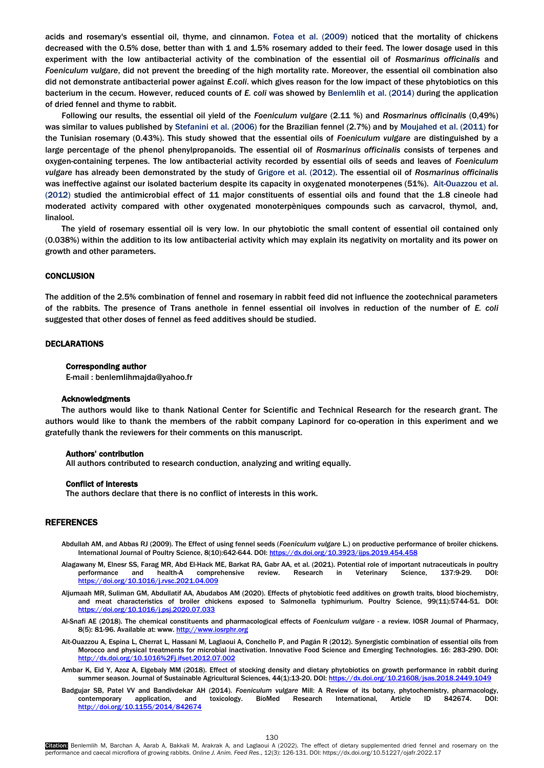<span id="page-4-0"></span>acids and rosemary's essential oil, thyme, and cinnamon. [Fotea et al. \(2009\) n](#page-5-0)oticed that the mortality of chickens decreased with the 0.5% dose, better than with 1 and 1.5% rosemary added to their feed. The lower dosage used in this experiment with the low antibacterial activity of the combination of the essential oil of *Rosmarinus officinalis* and *Foeniculum vulgare*, did not prevent the breeding of the high mortality rate. Moreover, the essential oil combination also did not demonstrate antibacterial power against *E.coli*. which gives reason for the low impact of these phytobiotics on this bacterium in the cecum. However, reduced counts of *E. coli* was showed by Benlemlih [et al. \(2014\)](#page-5-0) during the application of dried fennel and thyme to rabbit.

Following our results, the essential oil yield of the *Foeniculum vulgare* (2.11 %) and *Rosmarinu*s *officinalis* (0,49%) was similar to values published by [Stefanini et al. \(2006\)](#page-5-0) for the Brazilian fennel (2.7%) and by [Moujahed et al. \(2011\)](#page-5-0) for the Tunisian rosemary (0.43%). This study showed that the essential oils of *Foeniculum vulgare* are distinguished by a large percentage of the phenol phenylpropanoids. The essential oil of *Rosmarinus officinalis* consists of terpenes and oxygen-containing terpenes. The low antibacterial activity recorded by essential oils of seeds and leaves of *Foeniculum vulgare* has already been demonstrated by the study o[f Grigore et al. \(2012\).](#page-5-0) The essential oil of *Rosmarinus officinalis* was ineffective against our isolated bacterium despite its capacity in oxygenated monoterpenes (51%). [Ait-Ouazzou et al.](#page-5-0)  (2012) studied the antimicrobial effect of 11 major constituents of essential oils and found that the 1.8 cineole had moderated activity compared with other oxygenated monoterpèniques compounds such as carvacrol, thymol, and, linalool.

The yield of rosemary essential oil is very low. In our phytobiotic the small content of essential oil contained only (0.038%) within the addition to its low antibacterial activity which may explain its negativity on mortality and its power on growth and other parameters.

# **CONCLUSION**

The addition of the 2.5% combination of fennel and rosemary in rabbit feed did not influence the zootechnical parameters of the rabbits. The presence of Trans anethole in fennel essential oil involves in reduction of the number of *E. coli* suggested that other doses of fennel as feed additives should be studied.

## DECLARATIONS

#### Corresponding author

E-mail : [benlemlihmajda@yahoo.fr](mailto:benlemlihmajda@yahoo.fr)

#### Acknowledgments

The authors would like to thank National Center for Scientific and Technical Research for the research grant. The authors would like to thank the members of the rabbit company Lapinord for co-operation in this experiment and we gratefully thank the reviewers for their comments on this manuscript.

## Authors' contribution

All authors contributed to research conduction, analyzing and writing equally.

#### Conflict of interests

The authors declare that there is no conflict of interests in this work.

#### REFERENCES

- Abdullah AM, and Abbas RJ (2009). The Effect of using fennel seeds (*Foeniculum vulgare* L.) on productive performance of broiler chickens. International Journal of Poultry Science, 8(10):642-644. DOI: https://dx.doi.org/10.3923/ijp
- Alagawany M, Elnesr SS, Farag MR, Abd El-Hack ME, Barkat RA, Gabr AA, et al. (2021). Potential role of important nutraceuticals in poultry<br>performance and health-A comprehensive review. Research in Veterinary Science, 137: performance and health-A comprehensive review. Research in Veterinary Science, 137:9-29. DOI: <https://doi.org/10.1016/j.rvsc.2021.04.009>
- Aljumaah MR, Suliman GM, Abdullatif AA, Abudabos AM (2020). Effects of phytobiotic feed additives on growth traits, blood biochemistry, and meat characteristics of broiler chickens exposed to Salmonella typhimurium. Poultry Science, 99(11):5744-51. DOI: <https://doi.org/10.1016/j.psj.2020.07.033>
- Al-Snafi AE (2018). The chemical constituents and pharmacological effects of *Foeniculum vulgare* a review. IOSR Journal of Pharmacy, 8(5): 81-96. Available at: www[. http://www.iosrphr.org](http://www.iosrphr.org/)
- Ait-Ouazzou A, Espina L, Cherrat L, Hassani M, Laglaoui A, Conchello P, and Pagán R (2012). Synergistic combination of essential oils from Morocco and physical treatments for microbial inactivation. Innovative Food Science and Emerging Technologies. 16: 283-290. DOI: <http://dx.doi.org/10.1016%2Fj.ifset.2012.07.002>
- Ambar K, Eid Y, Azoz A, Elgebaly MM (2018). Effect of stocking density and dietary phytobiotics on growth performance in rabbit during summer season. Journal of Sustainable Agricultural Sciences, 44(1):13-20. DOI[: https://dx.doi.org/10.21608/jsas.2018.2449.1049](https://dx.doi.org/10.21608/jsas.2018.2449.1049)
- Badgujar SB, Patel VV and Bandivdekar AH (2014). *Foeniculum vulgare* Mill: A Review of its botany, phytochemistry, pharmacology, contemporary application, and toxicology. BioMed Research International, Article ID 842674. DOI: <http://doi.org/10.1155/2014/842674>